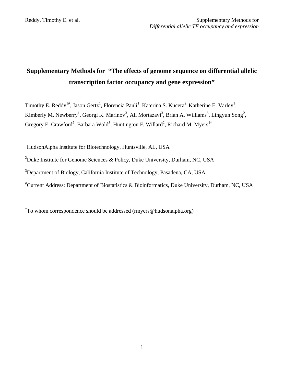# **Supplementary Methods for "The effects of genome sequence on differential allelic transcription factor occupancy and gene expression"**

Timothy E. Reddy<sup>1#</sup>, Jason Gertz<sup>1</sup>, Florencia Pauli<sup>1</sup>, Katerina S. Kucera<sup>2</sup>, Katherine E. Varley<sup>1</sup>, Kimberly M. Newberry<sup>1</sup>, Georgi K. Marinov<sup>3</sup>, Ali Mortazavi<sup>3</sup>, Brian A. Williams<sup>3</sup>, Lingyun Song<sup>2</sup>, Gregory E. Crawford<sup>2</sup>, Barbara Wold<sup>3</sup>, Huntington F. Willard<sup>2</sup>, Richard M. Myers<sup>1\*</sup>

<sup>1</sup>HudsonAlpha Institute for Biotechnology, Huntsville, AL, USA

<sup>2</sup>Duke Institute for Genome Sciences & Policy, Duke University, Durham, NC, USA

<sup>3</sup>Department of Biology, California Institute of Technology, Pasadena, CA, USA

# Current Address: Department of Biostatistics & Bioinformatics, Duke University, Durham, NC, USA

\* To whom correspondence should be addressed (rmyers@hudsonalpha.org)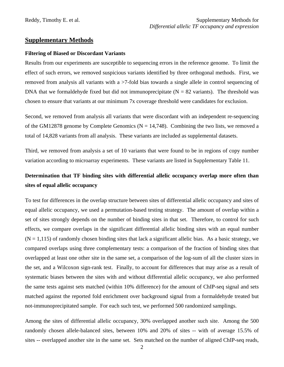# **Supplementary Methods**

#### **Filtering of Biased or Discordant Variants**

Results from our experiments are susceptible to sequencing errors in the reference genome. To limit the effect of such errors, we removed suspicious variants identified by three orthogonal methods. First, we removed from analysis all variants with a >7-fold bias towards a single allele in control sequencing of DNA that we formaldehyde fixed but did not immunoprecipitate ( $N = 82$  variants). The threshold was chosen to ensure that variants at our minimum 7x coverage threshold were candidates for exclusion.

Second, we removed from analysis all variants that were discordant with an independent re-sequencing of the GM12878 genome by Complete Genomics ( $N = 14,748$ ). Combining the two lists, we removed a total of 14,828 variants from all analysis. These variants are included as supplemental datasets.

Third, we removed from analysis a set of 10 variants that were found to be in regions of copy number variation according to microarray experiments. These variants are listed in Supplementary Table 11.

# **Determination that TF binding sites with differential allelic occupancy overlap more often than sites of equal allelic occupancy**

To test for differences in the overlap structure between sites of differential allelic occupancy and sites of equal allelic occupancy, we used a permutation-based testing strategy. The amount of overlap within a set of sites strongly depends on the number of binding sites in that set. Therefore, to control for such effects, we compare overlaps in the significant differential allelic binding sites with an equal number  $(N = 1,115)$  of randomly chosen binding sites that lack a significant allelic bias. As a basic strategy, we compared overlaps using three complementary tests: a comparison of the fraction of binding sites that overlapped at least one other site in the same set, a comparison of the log-sum of all the cluster sizes in the set, and a Wilcoxon sign-rank test. Finally, to account for differences that may arise as a result of systematic biases between the sites with and without differential allelic occupancy, we also performed the same tests against sets matched (within 10% difference) for the amount of ChIP-seq signal and sets matched against the reported fold enrichment over background signal from a formaldehyde treated but not-immunoprecipitated sample. For each such test, we performed 500 randomized samplings.

Among the sites of differential allelic occupancy, 30% overlapped another such site. Among the 500 randomly chosen allele-balanced sites, between 10% and 20% of sites -- with of average 15.5% of sites -- overlapped another site in the same set. Sets matched on the number of aligned ChIP-seq reads,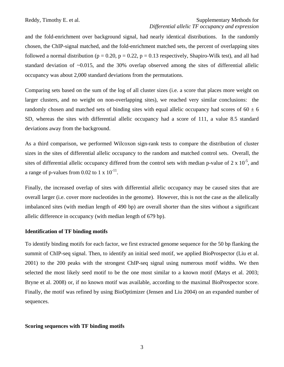and the fold-enrichment over background signal, had nearly identical distributions. In the randomly chosen, the ChIP-signal matched, and the fold-enrichment matched sets, the percent of overlapping sites followed a normal distribution ( $p = 0.20$ ,  $p = 0.22$ ,  $p = 0.13$  respectively, Shapiro-Wilk test), and all had standard deviation of ~0.015, and the 30% overlap observed among the sites of differential allelic occupancy was about 2,000 standard deviations from the permutations.

Comparing sets based on the sum of the log of all cluster sizes (i.e. a score that places more weight on larger clusters, and no weight on non-overlapping sites), we reached very similar conclusions: the randomly chosen and matched sets of binding sites with equal allelic occupancy had scores of  $60 \pm 6$ SD, whereas the sites with differential allelic occupancy had a score of 111, a value 8.5 standard deviations away from the background.

As a third comparison, we performed Wilcoxon sign-rank tests to compare the distribution of cluster sizes in the sites of differential allelic occupancy to the random and matched control sets. Overall, the sites of differential allelic occupancy differed from the control sets with median p-value of  $2 \times 10^{-5}$ , and a range of p-values from 0.02 to 1 x  $10^{-11}$ .

Finally, the increased overlap of sites with differential allelic occupancy may be caused sites that are overall larger (i.e. cover more nucleotides in the genome). However, this is not the case as the allelically imbalanced sites (with median length of 490 bp) are overall shorter than the sites without a significant allelic difference in occupancy (with median length of 679 bp).

# **Identification of TF binding motifs**

To identify binding motifs for each factor, we first extracted genome sequence for the 50 bp flanking the summit of ChIP-seq signal. Then, to identify an initial seed motif, we applied BioProspector (Liu et al. 2001) to the 200 peaks with the strongest ChIP-seq signal using numerous motif widths. We then selected the most likely seed motif to be the one most similar to a known motif (Matys et al. 2003; Bryne et al. 2008) or, if no known motif was available, according to the maximal BioProspector score. Finally, the motif was refined by using BioOptimizer (Jensen and Liu 2004) on an expanded number of sequences.

# **Scoring sequences with TF binding motifs**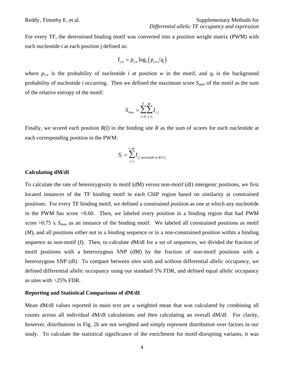For every TF, the determined binding motif was converted into a position weight matrix (PWM) with each nucleotide *i* at each position j defined as:

$$
I_{i,w} = p_{i,w} \log_2\left(p_{i,w}/q_i\right)
$$

where  $p_{i,w}$  is the probability of nucleotide *i* at position *w* in the motif, and  $q_i$  is the background probability of nucleotide *i* occurring. Then we defined the maximum score  $S_{\text{max}}$  of the motif as the sum of the relative entropy of the motif:

$$
S_{\max} = \sum_{i=A}^{T} \sum_{j=1}^{W} I_{i,j}
$$

Finally, we scored each position *R(l)* in the binding site *R* as the sum of scores for each nucleotide at each corresponding position in the PWM:

$$
S_l = \sum_{i=l}^{l+W} I_{i,\{\text{nucleotide at } R(l)\}}
$$

#### **Calculating dM/dI**

To calculate the rate of heterozygosity in motif (dM) versus non-motif (dI) intergenic positions, we first located instances of the TF binding motif in each ChIP region based on similarity at constrained positions. For every TF binding motif, we defined a constrained position as one at which any nucleotide in the PWM has score >0.60. Then, we labeled every position in a binding region that had PWM score  $>0.75$  x  $S<sub>max</sub>$  as an instance of the binding motif. We labeled all constrained positions as motif (*M*), and all positions either not in a binding sequence or in a non-constrained position within a binding sequence as non-motif (*I*). Then, to calculate dM/dI for a set of sequences, we divided the fraction of motif positions with a heterozygous SNP (dM) by the fraction of non-motif positions with a heterozygous SNP (dI). To compare between sites with and without differential allelic occupancy, we defined differential allelic occupancy using our standard 5% FDR, and defined equal allelic occupancy as sites with >25% FDR.

#### **Reporting and Statistical Comparisons of dM/dI**

Mean dM/dI values reported in main text are a weighted mean that was calculated by combining all counts across all individual dM/dI calculations and then calculating an overall dM/dI. For clarity, however, distributions in Fig. 2b are not weighted and simply represent distribution over factors in our study. To calculate the statistical significance of the enrichment for motif-disrupting variants, it was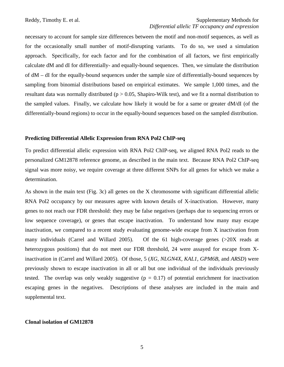necessary to account for sample size differences between the motif and non-motif sequences, as well as for the occasionally small number of motif-disrupting variants. To do so, we used a simulation approach. Specifically, for each factor and for the combination of all factors, we first empirically calculate dM and dI for differentially- and equally-bound sequences. Then, we simulate the distribution of dM – dI for the equally-bound sequences under the sample size of differentially-bound sequences by sampling from binomial distributions based on empirical estimates. We sample 1,000 times, and the resultant data was normally distributed ( $p > 0.05$ , Shapiro-Wilk test), and we fit a normal distribution to the sampled values. Finally, we calculate how likely it would be for a same or greater dM/dI (of the differentially-bound regions) to occur in the equally-bound sequences based on the sampled distribution.

#### **Predicting Differential Allelic Expression from RNA Pol2 ChIP-seq**

To predict differential allelic expression with RNA Pol2 ChIP-seq, we aligned RNA Pol2 reads to the personalized GM12878 reference genome, as described in the main text. Because RNA Pol2 ChIP-seq signal was more noisy, we require coverage at three different SNPs for all genes for which we make a determination.

As shown in the main text (Fig. 3c) all genes on the X chromosome with significant differential allelic RNA Pol2 occupancy by our measures agree with known details of X-inactivation. However, many genes to not reach our FDR threshold: they may be false negatives (perhaps due to sequencing errors or low sequence coverage), or genes that escape inactivation. To understand how many may escape inactivation, we compared to a recent study evaluating genome-wide escape from X inactivation from many individuals (Carrel and Willard 2005). Of the 61 high-coverage genes (>20X reads at heterozygous positions) that do not meet our FDR threshold, 24 were assayed for escape from Xinactivation in (Carrel and Willard 2005). Of those, 5 (*XG*, *NLGN4X*, *KAL1*, *GPM6B*, and *ARSD*) were previously shown to escape inactivation in all or all but one individual of the individuals previously tested. The overlap was only weakly suggestive  $(p = 0.17)$  of potential enrichment for inactivation escaping genes in the negatives. Descriptions of these analyses are included in the main and supplemental text.

#### **Clonal isolation of GM12878**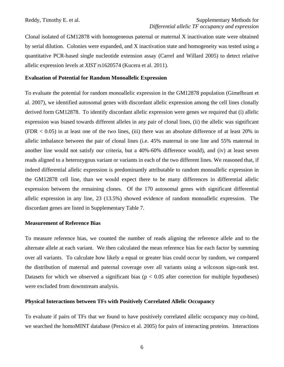Clonal isolated of GM12878 with homogeneous paternal or maternal X inactivation state were obtained by serial dilution. Colonies were expanded, and X inactivation state and homogeneity was tested using a quantitative PCR-based single nucleotide extension assay (Carrel and Willard 2005) to detect relative allelic expression levels at *XIST* rs1620574 (Kucera et al. 2011).

#### **Evaluation of Potential for Random Monoallelic Expression**

To evaluate the potential for random monoallelic expression in the GM12878 population (Gimelbrant et al. 2007), we identified autosomal genes with discordant allelic expression among the cell lines clonally derived form GM12878. To identify discordant allelic expression were genes we required that (i) allelic expression was biased towards different alleles in any pair of clonal lines, (ii) the allelic was significant  $(FDR < 0.05)$  in at least one of the two lines, (iii) there was an absolute difference of at least 20% in allelic imbalance between the pair of clonal lines (i.e. 45% maternal in one line and 55% maternal in another line would not satisfy our criteria, but a 40%-60% difference would), and (iv) at least seven reads aligned to a heterozygous variant or variants in each of the two different lines. We reasoned that, if indeed differential allelic expression is predominantly attributable to random monoallelic expression in the GM12878 cell line, than we would expect there to be many differences in differential allelic expression between the remaining clones. Of the 170 autosomal genes with significant differential allelic expression in any line, 23 (13.5%) showed evidence of random monoallelic expression. The discordant genes are listed in Supplementary Table 7.

#### **Measurement of Reference Bias**

To measure reference bias, we counted the number of reads aligning the reference allele and to the alternate allele at each variant. We then calculated the mean reference bias for each factor by summing over all variants. To calculate how likely a equal or greater bias could occur by random, we compared the distribution of maternal and paternal coverage over all variants using a wilcoxon sign-rank test. Datasets for which we observed a significant bias ( $p < 0.05$  after correction for multiple hypotheses) were excluded from downstream analysis.

#### **Physical Interactions between TFs with Positively Correlated Allelic Occupancy**

To evaluate if pairs of TFs that we found to have positively correlated allelic occupancy may co-bind, we searched the homoMINT database (Persico et al. 2005) for pairs of interacting proteins. Interactions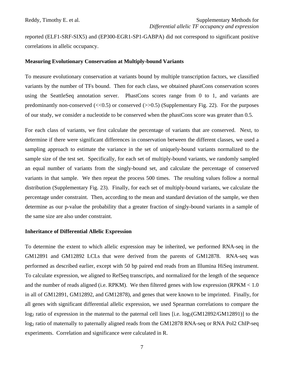reported (ELF1-SRF-SIX5) and (EP300-EGR1-SP1-GABPA) did not correspond to significant positive correlations in allelic occupancy.

## **Measuring Evolutionary Conservation at Multiply-bound Variants**

To measure evolutionary conservation at variants bound by multiple transcription factors, we classified variants by the number of TFs bound. Then for each class, we obtained phastCons conservation scores using the SeattleSeq annotation server. PhastCons scores range from 0 to 1, and variants are predominantly non-conserved  $\ll$  ( $\ll$ 0.5) or conserved ( $\gg$ 0.5) (Supplementary Fig. 22). For the purposes of our study, we consider a nucleotide to be conserved when the phastCons score was greater than 0.5.

For each class of variants, we first calculate the percentage of variants that are conserved. Next, to determine if there were significant differences in conservation between the different classes, we used a sampling approach to estimate the variance in the set of uniquely-bound variants normalized to the sample size of the test set. Specifically, for each set of multiply-bound variants, we randomly sampled an equal number of variants from the singly-bound set, and calculate the percentage of conserved variants in that sample. We then repeat the process 500 times. The resulting values follow a normal distribution (Supplementary Fig. 23). Finally, for each set of multiply-bound variants, we calculate the percentage under constraint. Then, according to the mean and standard deviation of the sample, we then determine as our p-value the probability that a greater fraction of singly-bound variants in a sample of the same size are also under constraint.

#### **Inheritance of Differential Allelic Expression**

To determine the extent to which allelic expression may be inherited, we performed RNA-seq in the GM12891 and GM12892 LCLs that were derived from the parents of GM12878. RNA-seq was performed as described earlier, except with 50 bp paired end reads from an Illumina HiSeq instrument. To calculate expression, we aligned to RefSeq transcripts, and normalized for the length of the sequence and the number of reads aligned (i.e. RPKM). We then filtered genes with low expression (RPKM < 1.0 in all of GM12891, GM12892, and GM12878), and genes that were known to be imprinted. Finally, for all genes with significant differential allelic expression, we used Spearman correlations to compare the  $log_2$  ratio of expression in the maternal to the paternal cell lines [i.e.  $log_2(GM12892/GM12891)$ ] to the log<sub>2</sub> ratio of maternally to paternally aligned reads from the GM12878 RNA-seq or RNA Pol2 ChIP-seq experiments. Correlation and significance were calculated in R.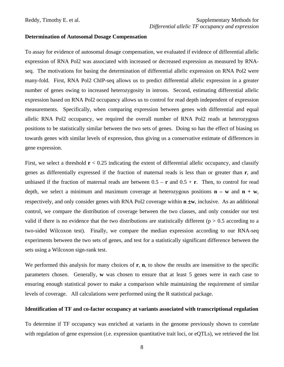#### **Determination of Autosomal Dosage Compensation**

To assay for evidence of autosomal dosage compensation, we evaluated if evidence of differential allelic expression of RNA Pol2 was associated with increased or decreased expression as measured by RNAseq. The motivations for basing the determination of differential allelic expression on RNA Pol2 were many-fold. First, RNA Pol2 ChIP-seq allows us to predict differential allelic expression in a greater number of genes owing to increased heterozygosity in introns. Second, estimating differential allelic expression based on RNA Pol2 occupancy allows us to control for read depth independent of expression measurements. Specifically, when comparing expression between genes with differential and equal allelic RNA Pol2 occupancy, we required the overall number of RNA Pol2 reads at heterozygous positions to be statistically similar between the two sets of genes. Doing so has the effect of biasing us towards genes with similar levels of expression, thus giving us a conservative estimate of differences in gene expression.

First, we select a threshold  $\mathbf{r} < 0.25$  indicating the extent of differential allelic occupancy, and classify genes as differentially expressed if the fraction of maternal reads is less than or greater than **r**, and unbiased if the fraction of maternal reads are between  $0.5 - r$  and  $0.5 + r$ . Then, to control for read depth, we select a minimum and maximum coverage at heterozygous positions  $\mathbf{n} - \mathbf{w}$  and  $\mathbf{n} + \mathbf{w}$ , respectively, and only consider genes with RNA Pol2 coverage within **n w**, inclusive. As an additional control, we compare the distribution of coverage between the two classes, and only consider our test valid if there is no evidence that the two distributions are statistically different ( $p > 0.5$  according to a two-sided Wilcoxon test). Finally, we compare the median expression according to our RNA-seq experiments between the two sets of genes, and test for a statistically significant difference between the sets using a Wilcoxon sign-rank test.

We performed this analysis for many choices of **r**, **n**, to show the results are insensitive to the specific parameters chosen. Generally, **w** was chosen to ensure that at least 5 genes were in each case to ensuring enough statistical power to make a comparison while maintaining the requirement of similar levels of coverage. All calculations were performed using the R statistical package.

## **Identification of TF and co-factor occupancy at variants associated with transcriptional regulation**

To determine if TF occupancy was enriched at variants in the genome previously shown to correlate with regulation of gene expression (i.e. expression quantitative trait loci, or eQTLs), we retrieved the list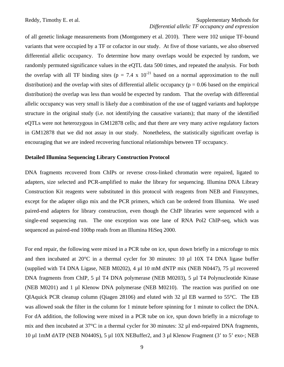of all genetic linkage measurements from (Montgomery et al. 2010). There were 102 unique TF-bound variants that were occupied by a TF or cofactor in our study. At five of those variants, we also observed differential allelic occupancy. To determine how many overlaps would be expected by random, we randomly permuted significance values in the eQTL data 500 times, and repeated the analysis. For both the overlap with all TF binding sites ( $p = 7.4 \times 10^{-21}$  based on a normal approximation to the null distribution) and the overlap with sites of differential allelic occupancy ( $p = 0.06$  based on the empirical distribution) the overlap was less than would be expected by random. That the overlap with differential allelic occupancy was very small is likely due a combination of the use of tagged variants and haplotype structure in the original study (i.e. not identifying the causative variants); that many of the identified eQTLs were not heterozygous in GM12878 cells; and that there are very many active regulatory factors in GM12878 that we did not assay in our study. Nonetheless, the statistically significant overlap is encouraging that we are indeed recovering functional relationships between TF occupancy.

#### **Detailed Illumina Sequencing Library Construction Protocol**

DNA fragments recovered from ChIPs or reverse cross-linked chromatin were repaired, ligated to adapters, size selected and PCR-amplified to make the library for sequencing. Illumina DNA Library Construction Kit reagents were substituted in this protocol with reagents from NEB and Finnzymes, except for the adapter oligo mix and the PCR primers, which can be ordered from Illumina. We used paired-end adapters for library construction, even though the ChIP libraries were sequenced with a single-end sequencing run. The one exception was one lane of RNA Pol2 ChIP-seq, which was sequenced as paired-end 100bp reads from an Illumina HiSeq 2000.

For end repair, the following were mixed in a PCR tube on ice, spun down briefly in a microfuge to mix and then incubated at 20°C in a thermal cycler for 30 minutes: 10 µl 10X T4 DNA ligase buffer (supplied with T4 DNA Ligase, NEB M0202), 4 µl 10 mM dNTP mix (NEB N0447), 75 µl recovered DNA fragments from ChIP, 5 µl T4 DNA polymerase (NEB M0203), 5 µl T4 Polynucleotide Kinase (NEB M0201) and 1 µl Klenow DNA polymerase (NEB M0210). The reaction was purified on one QIAquick PCR cleanup column (Qiagen 28106) and eluted with 32 µl EB warmed to 55°C. The EB was allowed soak the filter in the column for 1 minute before spinning for 1 minute to collect the DNA. For dA addition, the following were mixed in a PCR tube on ice, spun down briefly in a microfuge to mix and then incubated at 37°C in a thermal cycler for 30 minutes: 32 µl end-repaired DNA fragments, 10 µl 1mM dATP (NEB N0440S), 5 µl 10X NEBuffer2, and 3 µl Klenow Fragment (3' to 5' exo-; NEB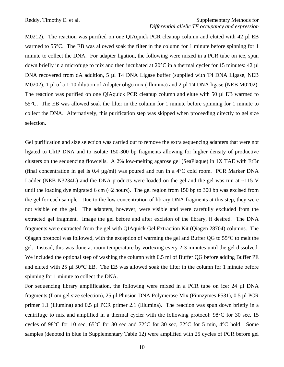M0212). The reaction was purified on one QIAquick PCR cleanup column and eluted with 42 µl EB warmed to 55°C. The EB was allowed soak the filter in the column for 1 minute before spinning for 1 minute to collect the DNA. For adapter ligation, the following were mixed in a PCR tube on ice, spun down briefly in a microfuge to mix and then incubated at 20°C in a thermal cycler for 15 minutes: 42 µl DNA recovered from dA addition, 5 µl T4 DNA Ligase buffer (supplied with T4 DNA Ligase, NEB M0202), 1 µl of a 1:10 dilution of Adapter oligo mix (Illumina) and 2 µl T4 DNA ligase (NEB M0202). The reaction was purified on one QIAquick PCR cleanup column and elute with 50 µl EB warmed to 55°C. The EB was allowed soak the filter in the column for 1 minute before spinning for 1 minute to collect the DNA. Alternatively, this purification step was skipped when proceeding directly to gel size selection.

Gel purification and size selection was carried out to remove the extra sequencing adapters that were not ligated to ChIP DNA and to isolate 150-300 bp fragments allowing for higher density of productive clusters on the sequencing flowcells. A 2% low-melting agarose gel (SeaPlaque) in 1X TAE with EtBr (final concentration in gel is 0.4  $\mu$ g/ml) was poured and run in a 4°C cold room. PCR Marker DNA Ladder (NEB N3234L) and the DNA products were loaded on the gel and the gel was run at ~115 V until the loading dye migrated 6 cm (~2 hours). The gel region from 150 bp to 300 bp was excised from the gel for each sample. Due to the low concentration of library DNA fragments at this step, they were not visible on the gel. The adapters, however, were visible and were carefully excluded from the extracted gel fragment. Image the gel before and after excision of the library, if desired. The DNA fragments were extracted from the gel with QIAquick Gel Extraction Kit (Qiagen 28704) columns. The Qiagen protocol was followed, with the exception of warming the gel and Buffer QG to 55°C to melt the gel. Instead, this was done at room temperature by vortexing every 2-3 minutes until the gel dissolved. We included the optional step of washing the column with 0.5 ml of Buffer QG before adding Buffer PE and eluted with 25  $\mu$ 1 50°C EB. The EB was allowed soak the filter in the column for 1 minute before spinning for 1 minute to collect the DNA.

For sequencing library amplification, the following were mixed in a PCR tube on ice: 24 µl DNA fragments (from gel size selection), 25 µl Phusion DNA Polymerase Mix (Finnzymes F531), 0.5 µl PCR primer 1.1 (Illumina) and 0.5 µl PCR primer 2.1 (Illumina). The reaction was spun down briefly in a centrifuge to mix and amplified in a thermal cycler with the following protocol: 98°C for 30 sec, 15 cycles of 98°C for 10 sec, 65°C for 30 sec and 72°C for 30 sec, 72°C for 5 min, 4°C hold. Some samples (denoted in blue in Supplementary Table 12) were amplified with 25 cycles of PCR before gel